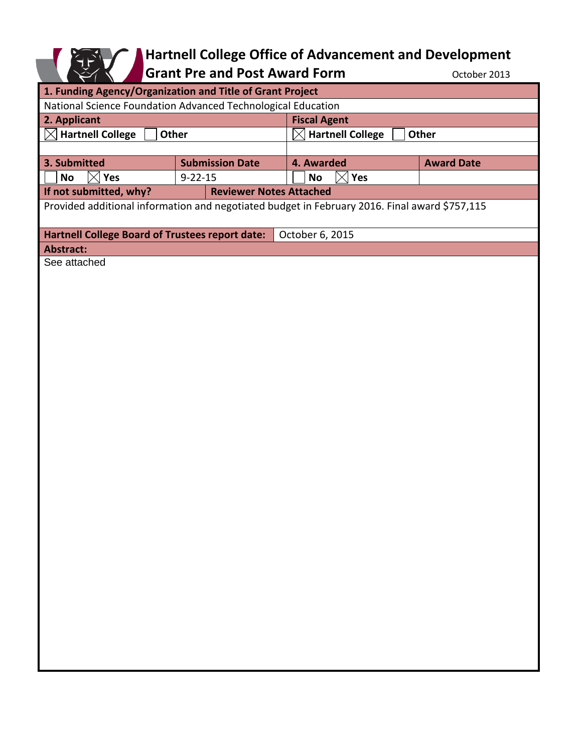## E

## **Hartnell College Office of Advancement and Development**

Grant Pre and Post Award Form **Canadia** October 2013

| 1. Funding Agency/Organization and Title of Grant Project                                     |                        |                                  |                   |
|-----------------------------------------------------------------------------------------------|------------------------|----------------------------------|-------------------|
| National Science Foundation Advanced Technological Education                                  |                        |                                  |                   |
| 2. Applicant                                                                                  |                        | <b>Fiscal Agent</b>              |                   |
| <b>Hartnell College</b><br>Other<br>IX                                                        |                        | <b>Hartnell College</b><br>Other |                   |
|                                                                                               |                        |                                  |                   |
| 3. Submitted                                                                                  | <b>Submission Date</b> | 4. Awarded                       | <b>Award Date</b> |
| $\boxtimes$<br>Yes<br><b>No</b>                                                               | $9 - 22 - 15$          | $\times$<br><b>No</b><br>Yes     |                   |
| If not submitted, why?<br><b>Reviewer Notes Attached</b>                                      |                        |                                  |                   |
| Provided additional information and negotiated budget in February 2016. Final award \$757,115 |                        |                                  |                   |
|                                                                                               |                        |                                  |                   |
| Hartnell College Board of Trustees report date:<br>October 6, 2015                            |                        |                                  |                   |
| <b>Abstract:</b>                                                                              |                        |                                  |                   |
| See attached                                                                                  |                        |                                  |                   |
|                                                                                               |                        |                                  |                   |
|                                                                                               |                        |                                  |                   |
|                                                                                               |                        |                                  |                   |
|                                                                                               |                        |                                  |                   |
|                                                                                               |                        |                                  |                   |
|                                                                                               |                        |                                  |                   |
|                                                                                               |                        |                                  |                   |
|                                                                                               |                        |                                  |                   |
|                                                                                               |                        |                                  |                   |
|                                                                                               |                        |                                  |                   |
|                                                                                               |                        |                                  |                   |
|                                                                                               |                        |                                  |                   |
|                                                                                               |                        |                                  |                   |
|                                                                                               |                        |                                  |                   |
|                                                                                               |                        |                                  |                   |
|                                                                                               |                        |                                  |                   |
|                                                                                               |                        |                                  |                   |
|                                                                                               |                        |                                  |                   |
|                                                                                               |                        |                                  |                   |
|                                                                                               |                        |                                  |                   |
|                                                                                               |                        |                                  |                   |
|                                                                                               |                        |                                  |                   |
|                                                                                               |                        |                                  |                   |
|                                                                                               |                        |                                  |                   |
|                                                                                               |                        |                                  |                   |
|                                                                                               |                        |                                  |                   |
|                                                                                               |                        |                                  |                   |
|                                                                                               |                        |                                  |                   |
|                                                                                               |                        |                                  |                   |
|                                                                                               |                        |                                  |                   |